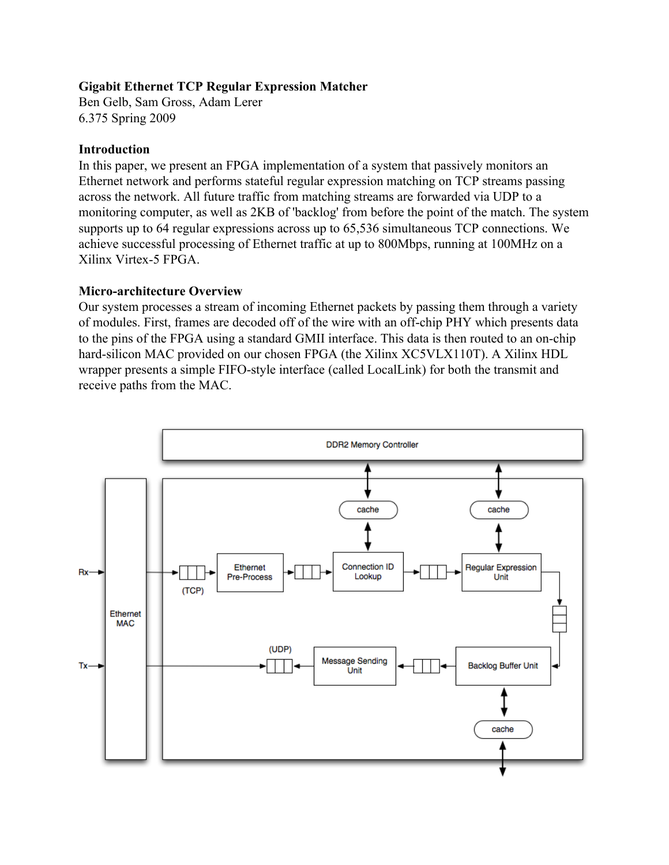### **Gigabit Ethernet TCP Regular Expression Matcher**

Ben Gelb, Sam Gross, Adam Lerer 6.375 Spring 2009

### **Introduction**

In this paper, we present an FPGA implementation of a system that passively monitors an Ethernet network and performs stateful regular expression matching on TCP streams passing across the network. All future traffic from matching streams are forwarded via UDP to a monitoring computer, as well as 2KB of 'backlog' from before the point of the match. The system supports up to 64 regular expressions across up to 65,536 simultaneous TCP connections. We achieve successful processing of Ethernet traffic at up to 800Mbps, running at 100MHz on a Xilinx Virtex-5 FPGA.

### **Micro-architecture Overview**

Our system processes a stream of incoming Ethernet packets by passing them through a variety of modules. First, frames are decoded off of the wire with an off-chip PHY which presents data to the pins of the FPGA using a standard GMII interface. This data is then routed to an on-chip hard-silicon MAC provided on our chosen FPGA (the Xilinx XC5VLX110T). A Xilinx HDL wrapper presents a simple FIFO-style interface (called LocalLink) for both the transmit and receive paths from the MAC.

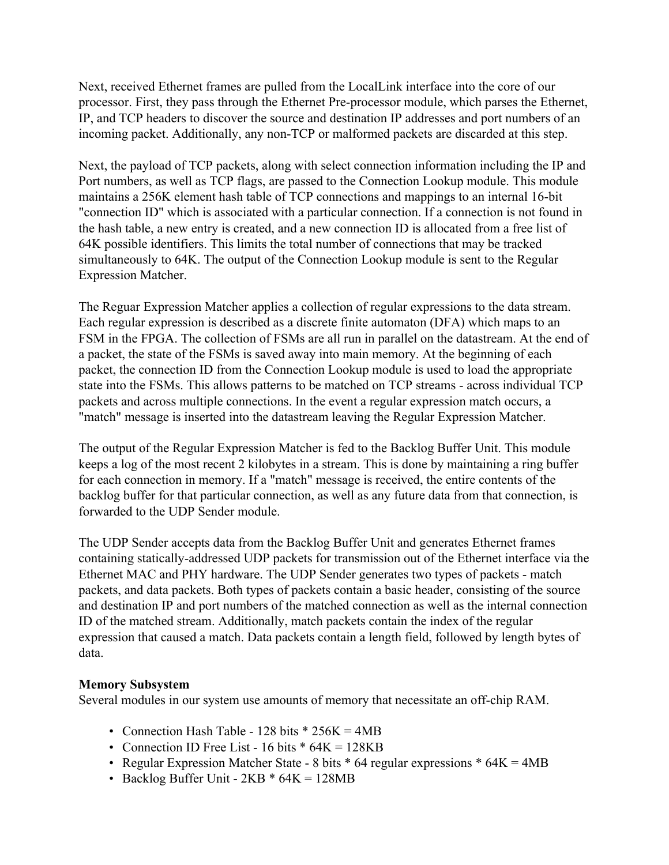Next, received Ethernet frames are pulled from the LocalLink interface into the core of our processor. First, they pass through the Ethernet Pre-processor module, which parses the Ethernet, IP, and TCP headers to discover the source and destination IP addresses and port numbers of an incoming packet. Additionally, any non-TCP or malformed packets are discarded at this step.

Next, the payload of TCP packets, along with select connection information including the IP and Port numbers, as well as TCP flags, are passed to the Connection Lookup module. This module maintains a 256K element hash table of TCP connections and mappings to an internal 16-bit "connection ID" which is associated with a particular connection. If a connection is not found in the hash table, a new entry is created, and a new connection ID is allocated from a free list of 64K possible identifiers. This limits the total number of connections that may be tracked simultaneously to 64K. The output of the Connection Lookup module is sent to the Regular Expression Matcher.

The Reguar Expression Matcher applies a collection of regular expressions to the data stream. Each regular expression is described as a discrete finite automaton (DFA) which maps to an FSM in the FPGA. The collection of FSMs are all run in parallel on the datastream. At the end of a packet, the state of the FSMs is saved away into main memory. At the beginning of each packet, the connection ID from the Connection Lookup module is used to load the appropriate state into the FSMs. This allows patterns to be matched on TCP streams - across individual TCP packets and across multiple connections. In the event a regular expression match occurs, a "match" message is inserted into the datastream leaving the Regular Expression Matcher.

The output of the Regular Expression Matcher is fed to the Backlog Buffer Unit. This module keeps a log of the most recent 2 kilobytes in a stream. This is done by maintaining a ring buffer for each connection in memory. If a "match" message is received, the entire contents of the backlog buffer for that particular connection, as well as any future data from that connection, is forwarded to the UDP Sender module.

The UDP Sender accepts data from the Backlog Buffer Unit and generates Ethernet frames containing statically-addressed UDP packets for transmission out of the Ethernet interface via the Ethernet MAC and PHY hardware. The UDP Sender generates two types of packets - match packets, and data packets. Both types of packets contain a basic header, consisting of the source and destination IP and port numbers of the matched connection as well as the internal connection ID of the matched stream. Additionally, match packets contain the index of the regular expression that caused a match. Data packets contain a length field, followed by length bytes of data.

#### **Memory Subsystem**

Several modules in our system use amounts of memory that necessitate an off-chip RAM.

- Connection Hash Table 128 bits  $*$  256K = 4MB
- Connection ID Free List 16 bits  $* 64K = 128KB$
- Regular Expression Matcher State 8 bits  $*$  64 regular expressions  $*$  64K = 4MB
- Backlog Buffer Unit  $2KB * 64K = 128MB$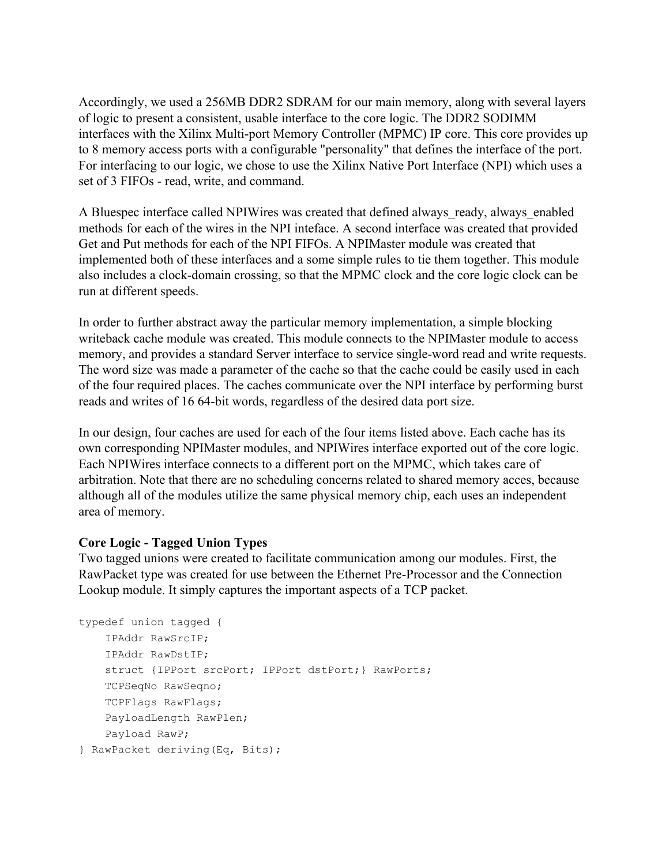Accordingly, we used a 256MB DDR2 SDRAM for our main memory, along with several layers of logic to present a consistent, usable interface to the core logic. The DDR2 SODIMM interfaces with the Xilinx Multi-port Memory Controller (MPMC) IP core. This core provides up to 8 memory access ports with a configurable "personality" that defines the interface of the port. For interfacing to our logic, we chose to use the Xilinx Native Port Interface (NPI) which uses a set of 3 FIFOs - read, write, and command.

A Bluespec interface called NPIWires was created that defined always ready, always enabled methods for each of the wires in the NPI inteface. A second interface was created that provided Get and Put methods for each of the NPI FIFOs. A NPIMaster module was created that implemented both of these interfaces and a some simple rules to tie them together. This module also includes a clock-domain crossing, so that the MPMC clock and the core logic clock can be run at different speeds.

In order to further abstract away the particular memory implementation, a simple blocking writeback cache module was created. This module connects to the NPIMaster module to access memory, and provides a standard Server interface to service single-word read and write requests. The word size was made a parameter of the cache so that the cache could be easily used in each of the four required places. The caches communicate over the NPI interface by performing burst reads and writes of 16 64-bit words, regardless of the desired data port size.

In our design, four caches are used for each of the four items listed above. Each cache has its own corresponding NPIMaster modules, and NPIWires interface exported out of the core logic. Each NPIWires interface connects to a different port on the MPMC, which takes care of arbitration. Note that there are no scheduling concerns related to shared memory acces, because although all of the modules utilize the same physical memory chip, each uses an independent area of memory.

## **Core Logic - Tagged Union Types**

Two tagged unions were created to facilitate communication among our modules. First, the RawPacket type was created for use between the Ethernet Pre-Processor and the Connection Lookup module. It simply captures the important aspects of a TCP packet.

```
typedef union tagged {
    IPAddr RawSrcIP;
    IPAddr RawDstIP;
    struct {IPPort srcPort; IPPort dstPort;} RawPorts;
    TCPSeqNo RawSeqno;
    TCPFlags RawFlags;
    PayloadLength RawPlen;
    Payload RawP;
} RawPacket deriving(Eq, Bits);
```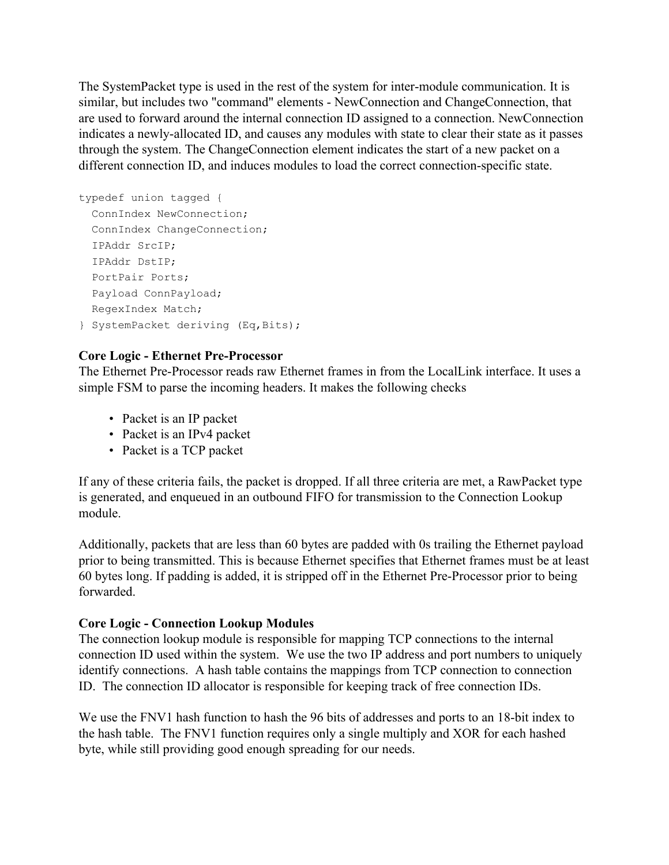The SystemPacket type is used in the rest of the system for inter-module communication. It is similar, but includes two "command" elements - NewConnection and ChangeConnection, that are used to forward around the internal connection ID assigned to a connection. NewConnection indicates a newly-allocated ID, and causes any modules with state to clear their state as it passes through the system. The ChangeConnection element indicates the start of a new packet on a different connection ID, and induces modules to load the correct connection-specific state.

```
typedef union tagged {
  ConnIndex NewConnection;
  ConnIndex ChangeConnection;
  IPAddr SrcIP;
  IPAddr DstIP;
  PortPair Ports;
  Payload ConnPayload;
 RegexIndex Match;
} SystemPacket deriving (Eq,Bits);
```
# **Core Logic - Ethernet Pre-Processor**

The Ethernet Pre-Processor reads raw Ethernet frames in from the LocalLink interface. It uses a simple FSM to parse the incoming headers. It makes the following checks

- Packet is an IP packet
- Packet is an IPv4 packet
- Packet is a TCP packet

If any of these criteria fails, the packet is dropped. If all three criteria are met, a RawPacket type is generated, and enqueued in an outbound FIFO for transmission to the Connection Lookup module.

Additionally, packets that are less than 60 bytes are padded with 0s trailing the Ethernet payload prior to being transmitted. This is because Ethernet specifies that Ethernet frames must be at least 60 bytes long. If padding is added, it is stripped off in the Ethernet Pre-Processor prior to being forwarded.

## **Core Logic - Connection Lookup Modules**

The connection lookup module is responsible for mapping TCP connections to the internal connection ID used within the system. We use the two IP address and port numbers to uniquely identify connections. A hash table contains the mappings from TCP connection to connection ID. The connection ID allocator is responsible for keeping track of free connection IDs.

We use the FNV1 hash function to hash the 96 bits of addresses and ports to an 18-bit index to the hash table. The FNV1 function requires only a single multiply and XOR for each hashed byte, while still providing good enough spreading for our needs.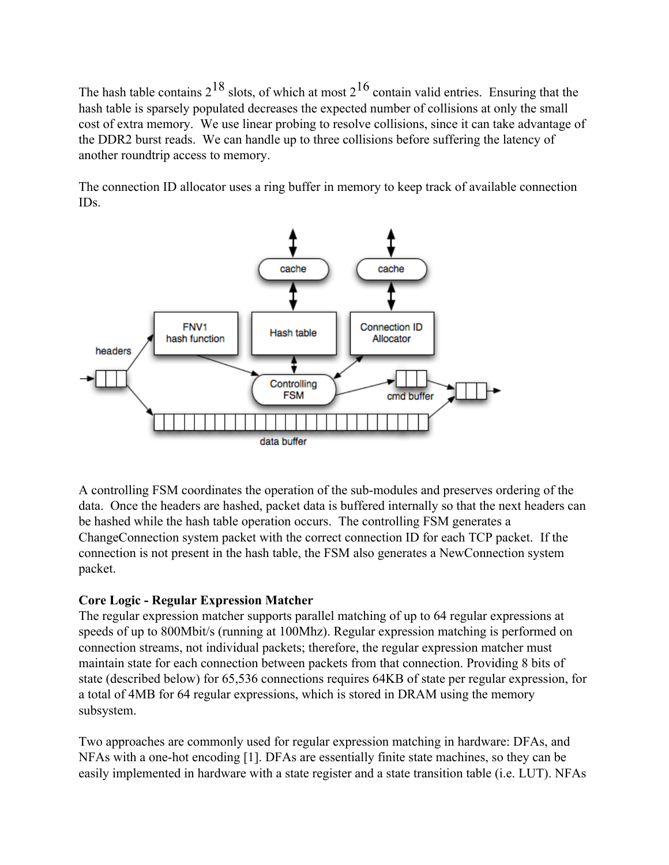The hash table contains  $2^{18}$  slots, of which at most  $2^{16}$  contain valid entries. Ensuring that the hash table is sparsely populated decreases the expected number of collisions at only the small cost of extra memory. We use linear probing to resolve collisions, since it can take advantage of the DDR2 burst reads. We can handle up to three collisions before suffering the latency of another roundtrip access to memory.

The connection ID allocator uses a ring buffer in memory to keep track of available connection IDs.



A controlling FSM coordinates the operation of the sub-modules and preserves ordering of the data. Once the headers are hashed, packet data is buffered internally so that the next headers can be hashed while the hash table operation occurs. The controlling FSM generates a ChangeConnection system packet with the correct connection ID for each TCP packet. If the connection is not present in the hash table, the FSM also generates a NewConnection system packet.

## **Core Logic - Regular Expression Matcher**

The regular expression matcher supports parallel matching of up to 64 regular expressions at speeds of up to 800Mbit/s (running at 100Mhz). Regular expression matching is performed on connection streams, not individual packets; therefore, the regular expression matcher must maintain state for each connection between packets from that connection. Providing 8 bits of state (described below) for 65,536 connections requires 64KB of state per regular expression, for a total of 4MB for 64 regular expressions, which is stored in DRAM using the memory subsystem.

Two approaches are commonly used for regular expression matching in hardware: DFAs, and NFAs with a one-hot encoding [1]. DFAs are essentially finite state machines, so they can be easily implemented in hardware with a state register and a state transition table (i.e. LUT). NFAs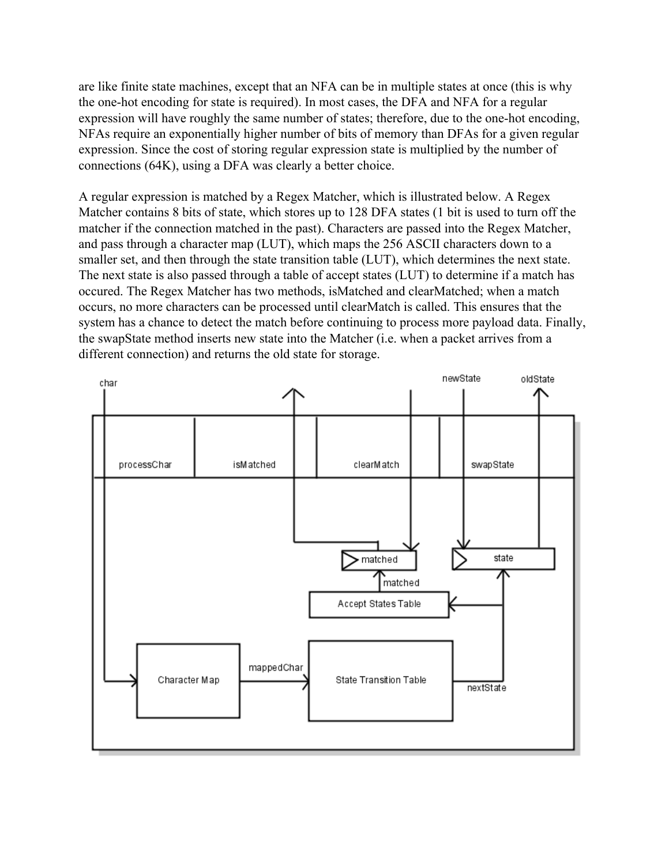are like finite state machines, except that an NFA can be in multiple states at once (this is why the one-hot encoding for state is required). In most cases, the DFA and NFA for a regular expression will have roughly the same number of states; therefore, due to the one-hot encoding, NFAs require an exponentially higher number of bits of memory than DFAs for a given regular expression. Since the cost of storing regular expression state is multiplied by the number of connections (64K), using a DFA was clearly a better choice.

A regular expression is matched by a Regex Matcher, which is illustrated below. A Regex Matcher contains 8 bits of state, which stores up to 128 DFA states (1 bit is used to turn off the matcher if the connection matched in the past). Characters are passed into the Regex Matcher, and pass through a character map (LUT), which maps the 256 ASCII characters down to a smaller set, and then through the state transition table (LUT), which determines the next state. The next state is also passed through a table of accept states (LUT) to determine if a match has occured. The Regex Matcher has two methods, isMatched and clearMatched; when a match occurs, no more characters can be processed until clearMatch is called. This ensures that the system has a chance to detect the match before continuing to process more payload data. Finally, the swapState method inserts new state into the Matcher (i.e. when a packet arrives from a different connection) and returns the old state for storage.

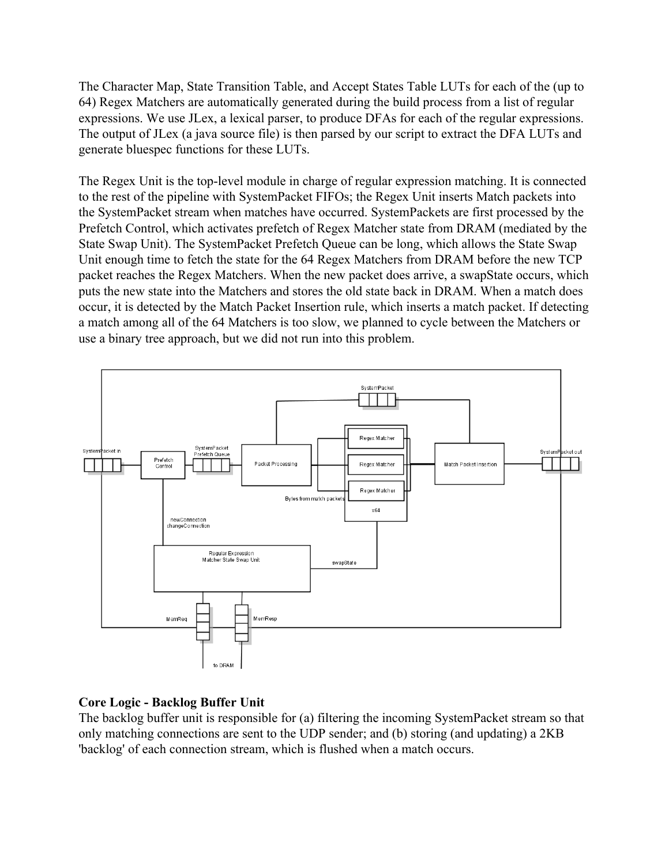The Character Map, State Transition Table, and Accept States Table LUTs for each of the (up to 64) Regex Matchers are automatically generated during the build process from a list of regular expressions. We use JLex, a lexical parser, to produce DFAs for each of the regular expressions. The output of JLex (a java source file) is then parsed by our script to extract the DFA LUTs and generate bluespec functions for these LUTs.

The Regex Unit is the top-level module in charge of regular expression matching. It is connected to the rest of the pipeline with SystemPacket FIFOs; the Regex Unit inserts Match packets into the SystemPacket stream when matches have occurred. SystemPackets are first processed by the Prefetch Control, which activates prefetch of Regex Matcher state from DRAM (mediated by the State Swap Unit). The SystemPacket Prefetch Queue can be long, which allows the State Swap Unit enough time to fetch the state for the 64 Regex Matchers from DRAM before the new TCP packet reaches the Regex Matchers. When the new packet does arrive, a swapState occurs, which puts the new state into the Matchers and stores the old state back in DRAM. When a match does occur, it is detected by the Match Packet Insertion rule, which inserts a match packet. If detecting a match among all of the 64 Matchers is too slow, we planned to cycle between the Matchers or use a binary tree approach, but we did not run into this problem.



# **Core Logic - Backlog Buffer Unit**

The backlog buffer unit is responsible for (a) filtering the incoming SystemPacket stream so that only matching connections are sent to the UDP sender; and (b) storing (and updating) a 2KB 'backlog' of each connection stream, which is flushed when a match occurs.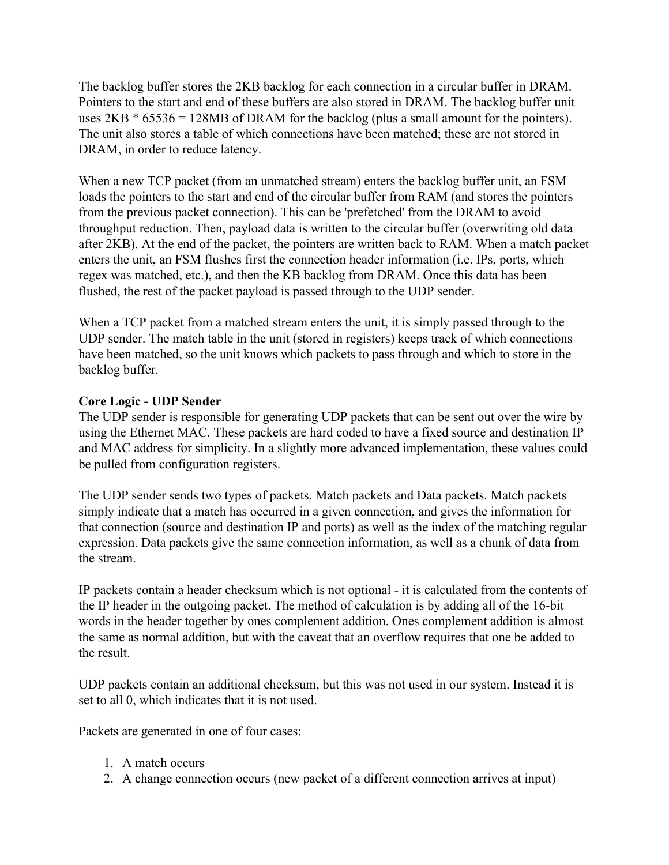The backlog buffer stores the 2KB backlog for each connection in a circular buffer in DRAM. Pointers to the start and end of these buffers are also stored in DRAM. The backlog buffer unit uses  $2KB * 65536 = 128MB$  of DRAM for the backlog (plus a small amount for the pointers). The unit also stores a table of which connections have been matched; these are not stored in DRAM, in order to reduce latency.

When a new TCP packet (from an unmatched stream) enters the backlog buffer unit, an FSM loads the pointers to the start and end of the circular buffer from RAM (and stores the pointers from the previous packet connection). This can be 'prefetched' from the DRAM to avoid throughput reduction. Then, payload data is written to the circular buffer (overwriting old data after 2KB). At the end of the packet, the pointers are written back to RAM. When a match packet enters the unit, an FSM flushes first the connection header information (i.e. IPs, ports, which regex was matched, etc.), and then the KB backlog from DRAM. Once this data has been flushed, the rest of the packet payload is passed through to the UDP sender.

When a TCP packet from a matched stream enters the unit, it is simply passed through to the UDP sender. The match table in the unit (stored in registers) keeps track of which connections have been matched, so the unit knows which packets to pass through and which to store in the backlog buffer.

## **Core Logic - UDP Sender**

The UDP sender is responsible for generating UDP packets that can be sent out over the wire by using the Ethernet MAC. These packets are hard coded to have a fixed source and destination IP and MAC address for simplicity. In a slightly more advanced implementation, these values could be pulled from configuration registers.

The UDP sender sends two types of packets, Match packets and Data packets. Match packets simply indicate that a match has occurred in a given connection, and gives the information for that connection (source and destination IP and ports) as well as the index of the matching regular expression. Data packets give the same connection information, as well as a chunk of data from the stream.

IP packets contain a header checksum which is not optional - it is calculated from the contents of the IP header in the outgoing packet. The method of calculation is by adding all of the 16-bit words in the header together by ones complement addition. Ones complement addition is almost the same as normal addition, but with the caveat that an overflow requires that one be added to the result.

UDP packets contain an additional checksum, but this was not used in our system. Instead it is set to all 0, which indicates that it is not used.

Packets are generated in one of four cases:

- 1. A match occurs
- 2. A change connection occurs (new packet of a different connection arrives at input)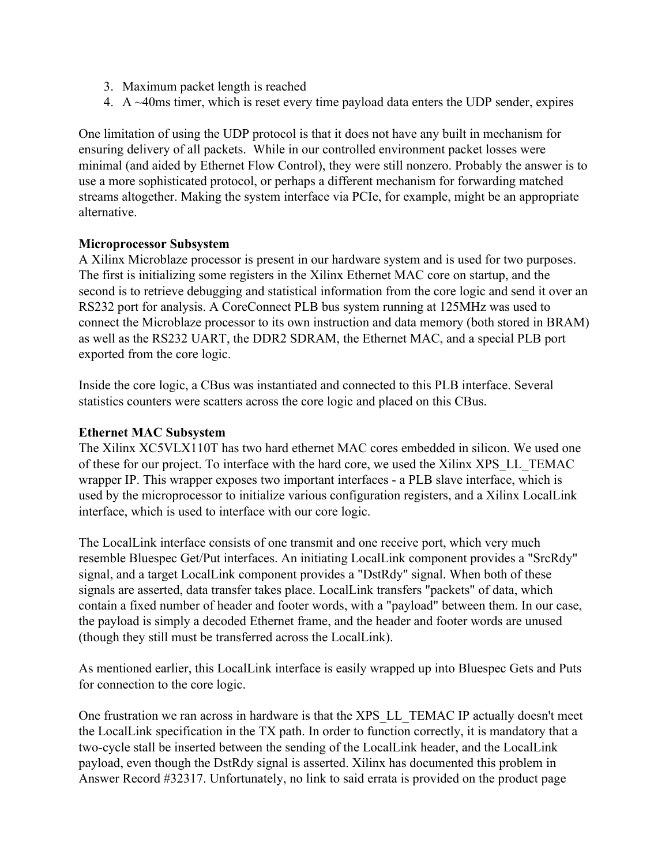- 3. Maximum packet length is reached
- 4. A ~40ms timer, which is reset every time payload data enters the UDP sender, expires

One limitation of using the UDP protocol is that it does not have any built in mechanism for ensuring delivery of all packets. While in our controlled environment packet losses were minimal (and aided by Ethernet Flow Control), they were still nonzero. Probably the answer is to use a more sophisticated protocol, or perhaps a different mechanism for forwarding matched streams altogether. Making the system interface via PCIe, for example, might be an appropriate alternative.

### **Microprocessor Subsystem**

A Xilinx Microblaze processor is present in our hardware system and is used for two purposes. The first is initializing some registers in the Xilinx Ethernet MAC core on startup, and the second is to retrieve debugging and statistical information from the core logic and send it over an RS232 port for analysis. A CoreConnect PLB bus system running at 125MHz was used to connect the Microblaze processor to its own instruction and data memory (both stored in BRAM) as well as the RS232 UART, the DDR2 SDRAM, the Ethernet MAC, and a special PLB port exported from the core logic.

Inside the core logic, a CBus was instantiated and connected to this PLB interface. Several statistics counters were scatters across the core logic and placed on this CBus.

#### **Ethernet MAC Subsystem**

The Xilinx XC5VLX110T has two hard ethernet MAC cores embedded in silicon. We used one of these for our project. To interface with the hard core, we used the Xilinx XPS\_LL\_TEMAC wrapper IP. This wrapper exposes two important interfaces - a PLB slave interface, which is used by the microprocessor to initialize various configuration registers, and a Xilinx LocalLink interface, which is used to interface with our core logic.

The LocalLink interface consists of one transmit and one receive port, which very much resemble Bluespec Get/Put interfaces. An initiating LocalLink component provides a "SrcRdy" signal, and a target LocalLink component provides a "DstRdy" signal. When both of these signals are asserted, data transfer takes place. LocalLink transfers "packets" of data, which contain a fixed number of header and footer words, with a "payload" between them. In our case, the payload is simply a decoded Ethernet frame, and the header and footer words are unused (though they still must be transferred across the LocalLink).

As mentioned earlier, this LocalLink interface is easily wrapped up into Bluespec Gets and Puts for connection to the core logic.

One frustration we ran across in hardware is that the XPS\_LL\_TEMAC IP actually doesn't meet the LocalLink specification in the TX path. In order to function correctly, it is mandatory that a two-cycle stall be inserted between the sending of the LocalLink header, and the LocalLink payload, even though the DstRdy signal is asserted. Xilinx has documented this problem in Answer Record #32317. Unfortunately, no link to said errata is provided on the product page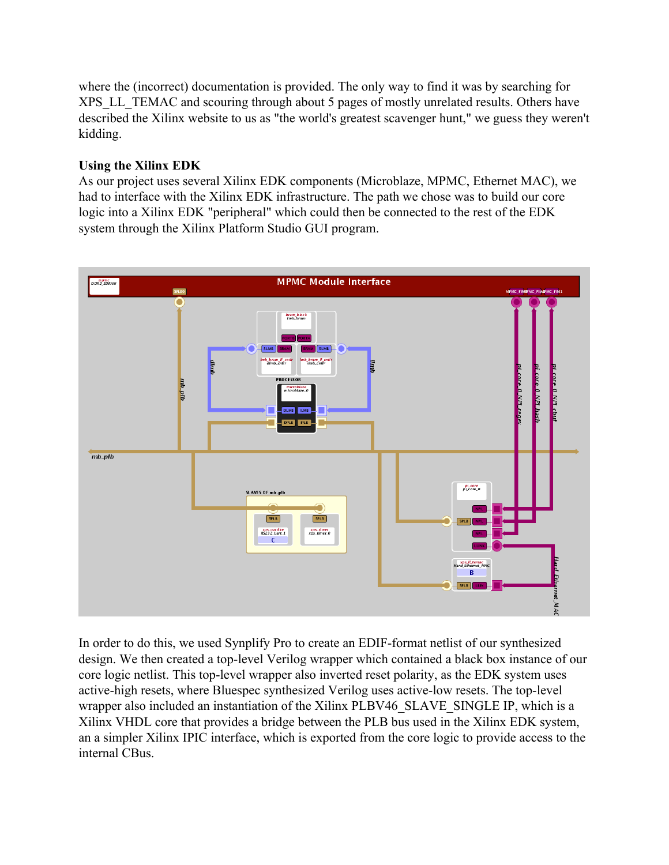where the (incorrect) documentation is provided. The only way to find it was by searching for XPS LL TEMAC and scouring through about 5 pages of mostly unrelated results. Others have described the Xilinx website to us as "the world's greatest scavenger hunt," we guess they weren't kidding.

# **Using the Xilinx EDK**

As our project uses several Xilinx EDK components (Microblaze, MPMC, Ethernet MAC), we had to interface with the Xilinx EDK infrastructure. The path we chose was to build our core logic into a Xilinx EDK "peripheral" which could then be connected to the rest of the EDK system through the Xilinx Platform Studio GUI program.



In order to do this, we used Synplify Pro to create an EDIF-format netlist of our synthesized design. We then created a top-level Verilog wrapper which contained a black box instance of our core logic netlist. This top-level wrapper also inverted reset polarity, as the EDK system uses active-high resets, where Bluespec synthesized Verilog uses active-low resets. The top-level wrapper also included an instantiation of the Xilinx PLBV46\_SLAVE\_SINGLE IP, which is a Xilinx VHDL core that provides a bridge between the PLB bus used in the Xilinx EDK system, an a simpler Xilinx IPIC interface, which is exported from the core logic to provide access to the internal CBus.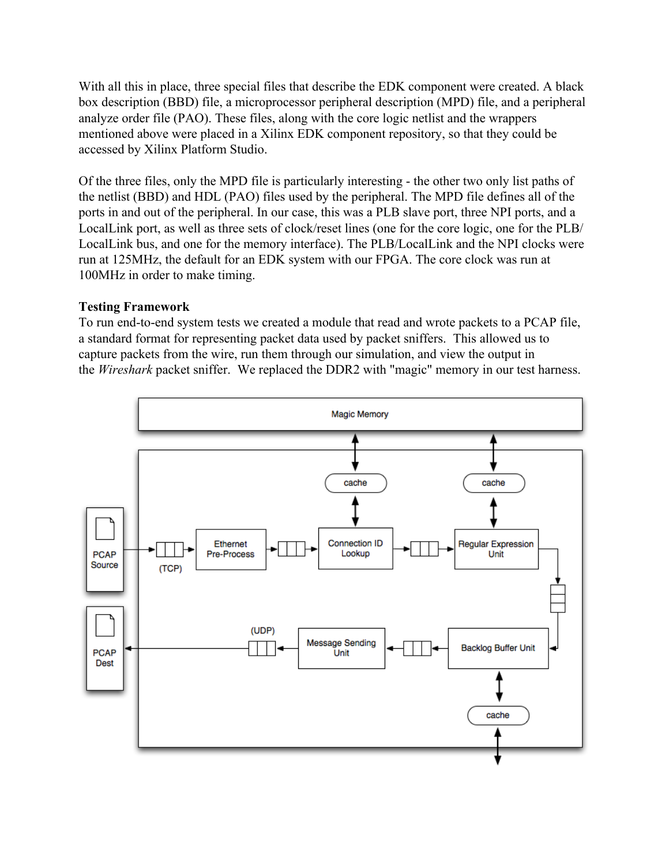With all this in place, three special files that describe the EDK component were created. A black box description (BBD) file, a microprocessor peripheral description (MPD) file, and a peripheral analyze order file (PAO). These files, along with the core logic netlist and the wrappers mentioned above were placed in a Xilinx EDK component repository, so that they could be accessed by Xilinx Platform Studio.

Of the three files, only the MPD file is particularly interesting - the other two only list paths of the netlist (BBD) and HDL (PAO) files used by the peripheral. The MPD file defines all of the ports in and out of the peripheral. In our case, this was a PLB slave port, three NPI ports, and a LocalLink port, as well as three sets of clock/reset lines (one for the core logic, one for the PLB/ LocalLink bus, and one for the memory interface). The PLB/LocalLink and the NPI clocks were run at 125MHz, the default for an EDK system with our FPGA. The core clock was run at 100MHz in order to make timing.

### **Testing Framework**

To run end-to-end system tests we created a module that read and wrote packets to a PCAP file, a standard format for representing packet data used by packet sniffers. This allowed us to capture packets from the wire, run them through our simulation, and view the output in the *Wireshark* packet sniffer. We replaced the DDR2 with "magic" memory in our test harness.

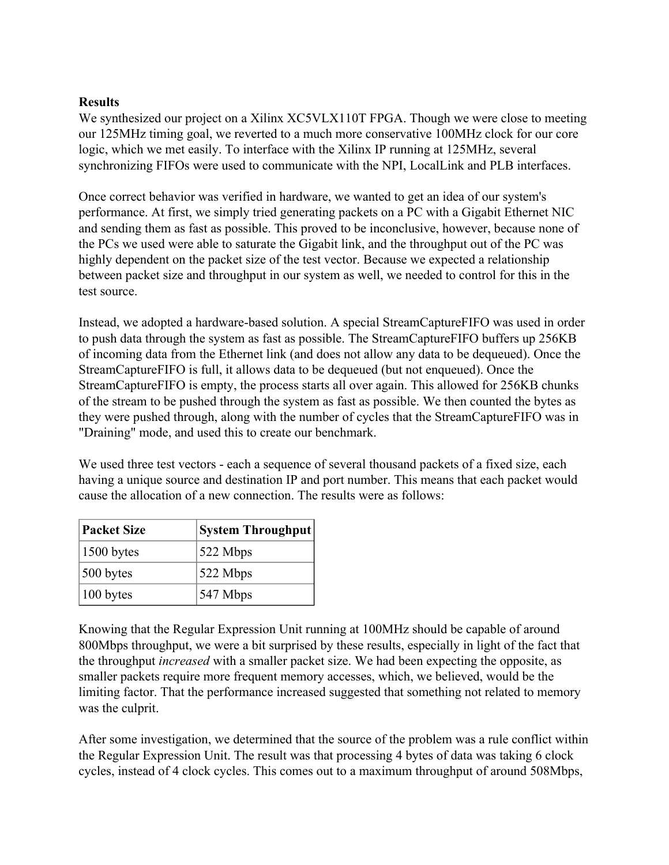### **Results**

We synthesized our project on a Xilinx XC5VLX110T FPGA. Though we were close to meeting our 125MHz timing goal, we reverted to a much more conservative 100MHz clock for our core logic, which we met easily. To interface with the Xilinx IP running at 125MHz, several synchronizing FIFOs were used to communicate with the NPI, LocalLink and PLB interfaces.

Once correct behavior was verified in hardware, we wanted to get an idea of our system's performance. At first, we simply tried generating packets on a PC with a Gigabit Ethernet NIC and sending them as fast as possible. This proved to be inconclusive, however, because none of the PCs we used were able to saturate the Gigabit link, and the throughput out of the PC was highly dependent on the packet size of the test vector. Because we expected a relationship between packet size and throughput in our system as well, we needed to control for this in the test source.

Instead, we adopted a hardware-based solution. A special StreamCaptureFIFO was used in order to push data through the system as fast as possible. The StreamCaptureFIFO buffers up 256KB of incoming data from the Ethernet link (and does not allow any data to be dequeued). Once the StreamCaptureFIFO is full, it allows data to be dequeued (but not enqueued). Once the StreamCaptureFIFO is empty, the process starts all over again. This allowed for 256KB chunks of the stream to be pushed through the system as fast as possible. We then counted the bytes as they were pushed through, along with the number of cycles that the StreamCaptureFIFO was in "Draining" mode, and used this to create our benchmark.

We used three test vectors - each a sequence of several thousand packets of a fixed size, each having a unique source and destination IP and port number. This means that each packet would cause the allocation of a new connection. The results were as follows:

| <b>Packet Size</b> | <b>System Throughput</b> |
|--------------------|--------------------------|
| $1500$ bytes       | 522 Mbps                 |
| $500$ bytes        | 522 Mbps                 |
| 100 bytes          | 547 Mbps                 |

Knowing that the Regular Expression Unit running at 100MHz should be capable of around 800Mbps throughput, we were a bit surprised by these results, especially in light of the fact that the throughput *increased* with a smaller packet size. We had been expecting the opposite, as smaller packets require more frequent memory accesses, which, we believed, would be the limiting factor. That the performance increased suggested that something not related to memory was the culprit.

After some investigation, we determined that the source of the problem was a rule conflict within the Regular Expression Unit. The result was that processing 4 bytes of data was taking 6 clock cycles, instead of 4 clock cycles. This comes out to a maximum throughput of around 508Mbps,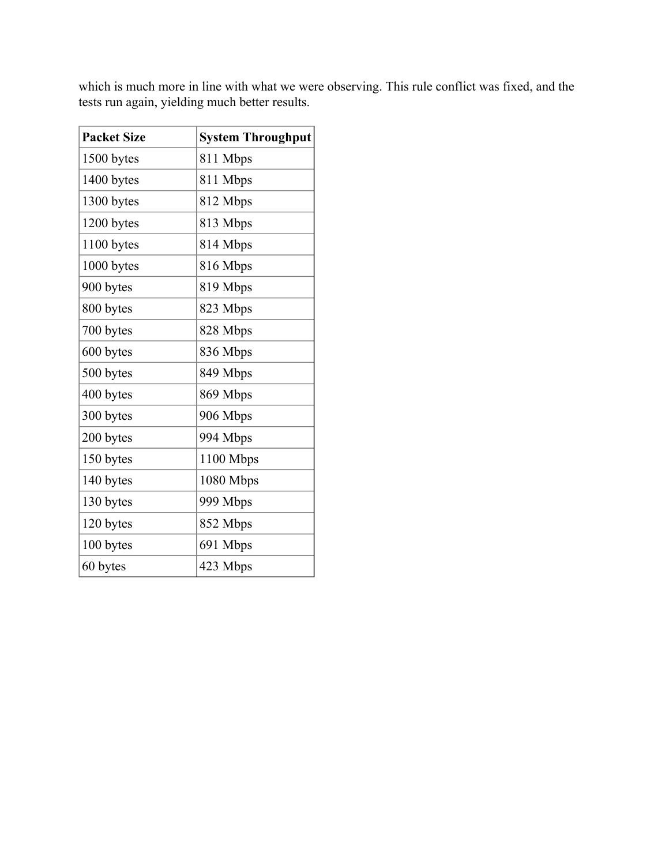| <b>Packet Size</b> | <b>System Throughput</b> |
|--------------------|--------------------------|
| 1500 bytes         | 811 Mbps                 |
| 1400 bytes         | 811 Mbps                 |
| 1300 bytes         | 812 Mbps                 |
| 1200 bytes         | 813 Mbps                 |
| 1100 bytes         | 814 Mbps                 |
| 1000 bytes         | 816 Mbps                 |
| 900 bytes          | 819 Mbps                 |
| 800 bytes          | 823 Mbps                 |
| 700 bytes          | 828 Mbps                 |
| 600 bytes          | 836 Mbps                 |
| 500 bytes          | 849 Mbps                 |
| 400 bytes          | 869 Mbps                 |
| 300 bytes          | 906 Mbps                 |
| 200 bytes          | 994 Mbps                 |
| 150 bytes          | 1100 Mbps                |
| 140 bytes          | 1080 Mbps                |
| 130 bytes          | 999 Mbps                 |
| 120 bytes          | 852 Mbps                 |
| 100 bytes          | 691 Mbps                 |
| 60 bytes           | 423 Mbps                 |

which is much more in line with what we were observing. This rule conflict was fixed, and the tests run again, yielding much better results.